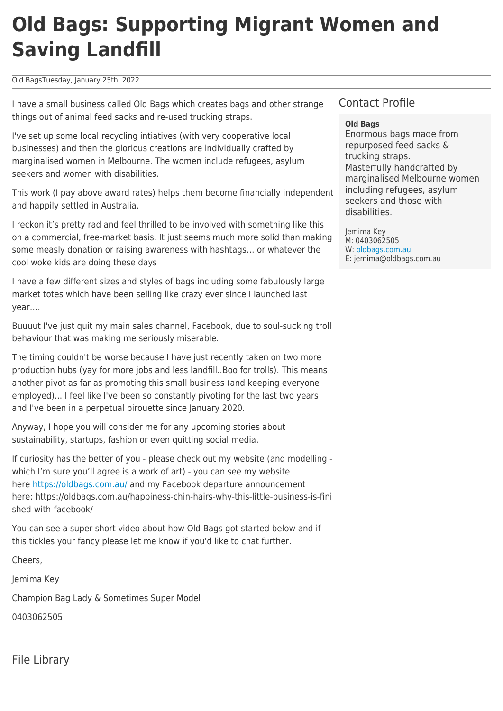## **Old Bags: Supporting Migrant Women and Saving Landfill**

Old BagsTuesday, January 25th, 2022

I have a small business called Old Bags which creates bags and other strange things out of animal feed sacks and re-used trucking straps.

I've set up some local recycling intiatives (with very cooperative local businesses) and then the glorious creations are individually crafted by marginalised women in Melbourne. The women include refugees, asylum seekers and women with disabilities.

This work (I pay above award rates) helps them become financially independent and happily settled in Australia.

I reckon it's pretty rad and feel thrilled to be involved with something like this on a commercial, free-market basis. It just seems much more solid than making some measly donation or raising awareness with hashtags… or whatever the cool woke kids are doing these days

I have a few different sizes and styles of bags including some fabulously large market totes which have been selling like crazy ever since I launched last year….

Buuuut I've just quit my main sales channel, Facebook, due to soul-sucking troll behaviour that was making me seriously miserable.

The timing couldn't be worse because I have just recently taken on two more production hubs (yay for more jobs and less landfill..Boo for trolls). This means another pivot as far as promoting this small business (and keeping everyone employed)... I feel like I've been so constantly pivoting for the last two years and I've been in a perpetual pirouette since January 2020.

Anyway, I hope you will consider me for any upcoming stories about sustainability, startups, fashion or even quitting social media.

If curiosity has the better of you - please check out my website (and modelling which I'm sure you'll agree is a work of art) - you can see my website here <https://oldbags.com.au/>and my Facebook departure announcement here: https://oldbags.com.au/happiness-chin-hairs-why-this-little-business-is-fini shed-with-facebook/

You can see a super short video about how Old Bags got started below and if this tickles your fancy please let me know if you'd like to chat further.

Cheers,

Jemima Key

Champion Bag Lady & Sometimes Super Model

0403062505

## Contact Profile

## **Old Bags**

Enormous bags made from repurposed feed sacks & trucking straps. Masterfully handcrafted by marginalised Melbourne women including refugees, asylum seekers and those with disabilities.

Jemima Key M: 0403062505 W: [oldbags.com.au](http://oldbags.com.au) E: jemima@oldbags.com.au

File Library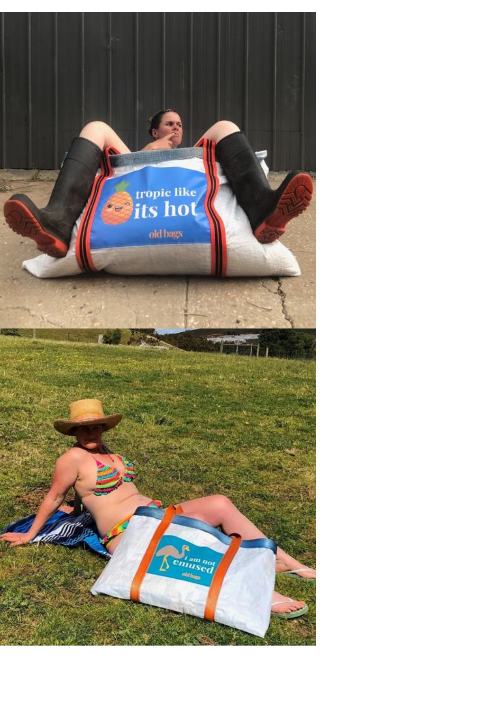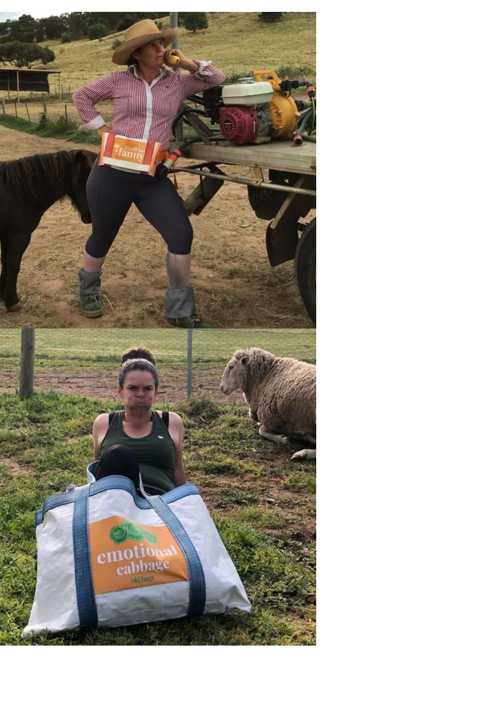